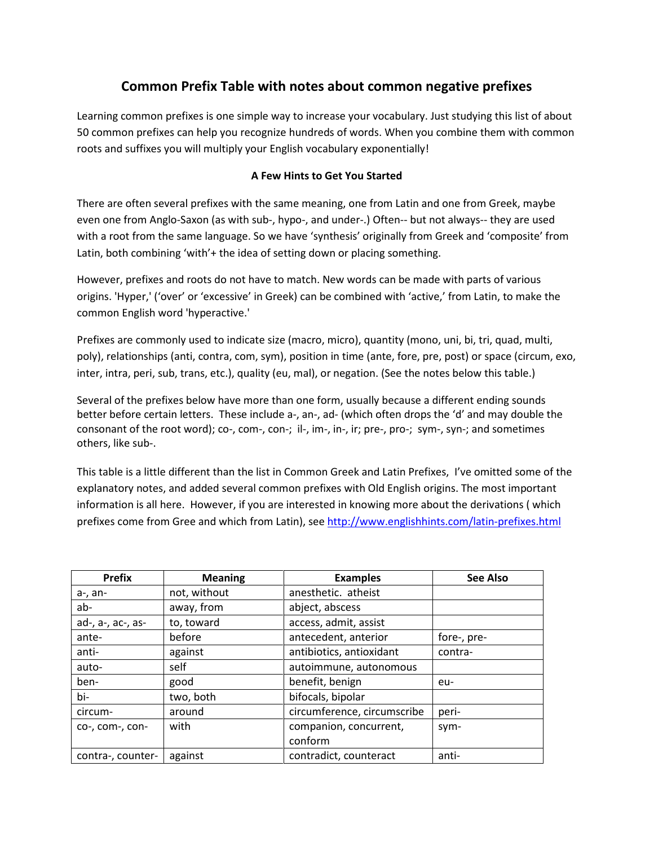# Common Prefix Table with notes about common negative prefixes

Learning common prefixes is one simple way to increase your vocabulary. Just studying this list of about 50 common prefixes can help you recognize hundreds of words. When you combine them with common roots and suffixes you will multiply your English vocabulary exponentially!

## A Few Hints to Get You Started

There are often several prefixes with the same meaning, one from Latin and one from Greek, maybe even one from Anglo-Saxon (as with sub-, hypo-, and under-.) Often-- but not always-- they are used with a root from the same language. So we have 'synthesis' originally from Greek and 'composite' from Latin, both combining 'with'+ the idea of setting down or placing something.

However, prefixes and roots do not have to match. New words can be made with parts of various origins. 'Hyper,' ('over' or 'excessive' in Greek) can be combined with 'active,' from Latin, to make the common English word 'hyperactive.'

Prefixes are commonly used to indicate size (macro, micro), quantity (mono, uni, bi, tri, quad, multi, poly), relationships (anti, contra, com, sym), position in time (ante, fore, pre, post) or space (circum, exo, inter, intra, peri, sub, trans, etc.), quality (eu, mal), or negation. (See the notes below this table.)

Several of the prefixes below have more than one form, usually because a different ending sounds better before certain letters. These include a-, an-, ad- (which often drops the 'd' and may double the consonant of the root word); co-, com-, con-; il-, im-, in-, ir; pre-, pro-; sym-, syn-; and sometimes others, like sub-.

This table is a little different than the list in Common Greek and Latin Prefixes, I've omitted some of the explanatory notes, and added several common prefixes with Old English origins. The most important information is all here. However, if you are interested in knowing more about the derivations ( which prefixes come from Gree and which from Latin), see http://www.englishhints.com/latin-prefixes.html

| <b>Prefix</b>     | <b>Meaning</b> | <b>Examples</b>             | <b>See Also</b> |
|-------------------|----------------|-----------------------------|-----------------|
| a-, an-           | not, without   | anesthetic. atheist         |                 |
| ab-               | away, from     | abject, abscess             |                 |
| ad-, a-, ac-, as- | to, toward     | access, admit, assist       |                 |
| ante-             | before         | antecedent, anterior        | fore-, pre-     |
| anti-             | against        | antibiotics, antioxidant    | contra-         |
| auto-             | self           | autoimmune, autonomous      |                 |
| ben-              | good           | benefit, benign             | eu-             |
| bi-               | two, both      | bifocals, bipolar           |                 |
| circum-           | around         | circumference, circumscribe | peri-           |
| co-, com-, con-   | with           | companion, concurrent,      | sym-            |
|                   |                | conform                     |                 |
| contra-, counter- | against        | contradict, counteract      | anti-           |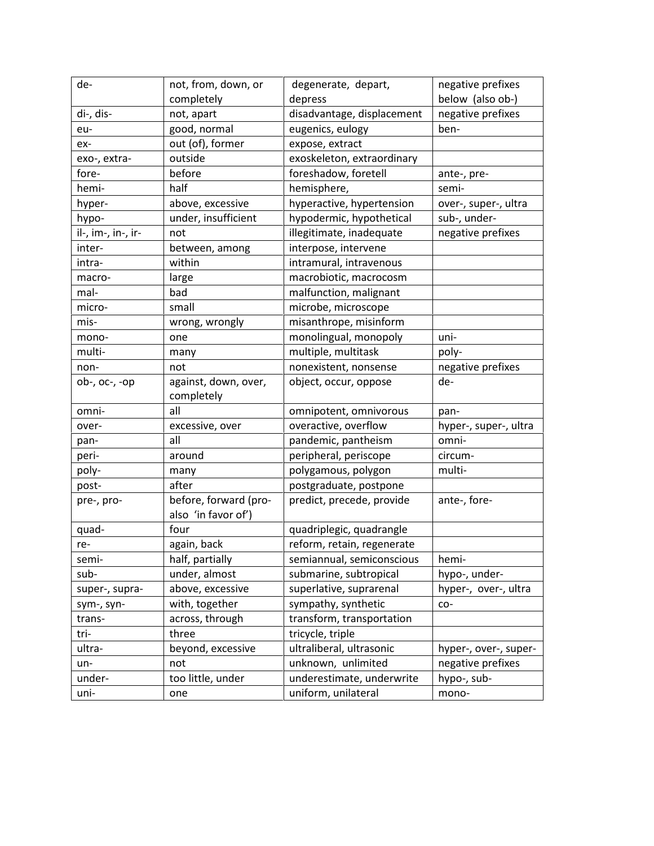| de-                | not, from, down, or   | degenerate, depart,        | negative prefixes     |
|--------------------|-----------------------|----------------------------|-----------------------|
|                    | completely            | depress                    | below (also ob-)      |
| di-, dis-          | not, apart            | disadvantage, displacement | negative prefixes     |
| eu-                | good, normal          | eugenics, eulogy           | ben-                  |
| ex-                | out (of), former      | expose, extract            |                       |
| exo-, extra-       | outside               | exoskeleton, extraordinary |                       |
| fore-              | before                | foreshadow, foretell       | ante-, pre-           |
| hemi-              | half                  | hemisphere,                | semi-                 |
| hyper-             | above, excessive      | hyperactive, hypertension  | over-, super-, ultra  |
| hypo-              | under, insufficient   | hypodermic, hypothetical   | sub-, under-          |
| il-, im-, in-, ir- | not                   | illegitimate, inadequate   | negative prefixes     |
| inter-             | between, among        | interpose, intervene       |                       |
| intra-             | within                | intramural, intravenous    |                       |
| macro-             | large                 | macrobiotic, macrocosm     |                       |
| mal-               | bad                   | malfunction, malignant     |                       |
| micro-             | small                 | microbe, microscope        |                       |
| mis-               | wrong, wrongly        | misanthrope, misinform     |                       |
| mono-              | one                   | monolingual, monopoly      | uni-                  |
| multi-             | many                  | multiple, multitask        | poly-                 |
| non-               | not                   | nonexistent, nonsense      | negative prefixes     |
| $ob-, oc-, -op$    | against, down, over,  | object, occur, oppose      | de-                   |
|                    | completely            |                            |                       |
| omni-              | all                   | omnipotent, omnivorous     | pan-                  |
| over-              | excessive, over       | overactive, overflow       | hyper-, super-, ultra |
| pan-               | all                   | pandemic, pantheism        | omni-                 |
| peri-              | around                | peripheral, periscope      | circum-               |
| poly-              | many                  | polygamous, polygon        | multi-                |
| post-              | after                 | postgraduate, postpone     |                       |
| pre-, pro-         | before, forward (pro- | predict, precede, provide  | ante-, fore-          |
|                    | also 'in favor of')   |                            |                       |
| quad-              | four                  | quadriplegic, quadrangle   |                       |
| re-                | again, back           | reform, retain, regenerate |                       |
| semi-              | half, partially       | semiannual, semiconscious  | hemi-                 |
| sub-               | under, almost         | submarine, subtropical     | hypo-, under-         |
| super-, supra-     | above, excessive      | superlative, suprarenal    | hyper-, over-, ultra  |
| sym-, syn-         | with, together        | sympathy, synthetic        | $CO-$                 |
| trans-             | across, through       | transform, transportation  |                       |
| tri-               | three                 | tricycle, triple           |                       |
| ultra-             | beyond, excessive     | ultraliberal, ultrasonic   | hyper-, over-, super- |
| un-                | not                   | unknown, unlimited         | negative prefixes     |
| under-             | too little, under     | underestimate, underwrite  | hypo-, sub-           |
| uni-               | one                   | uniform, unilateral        | mono-                 |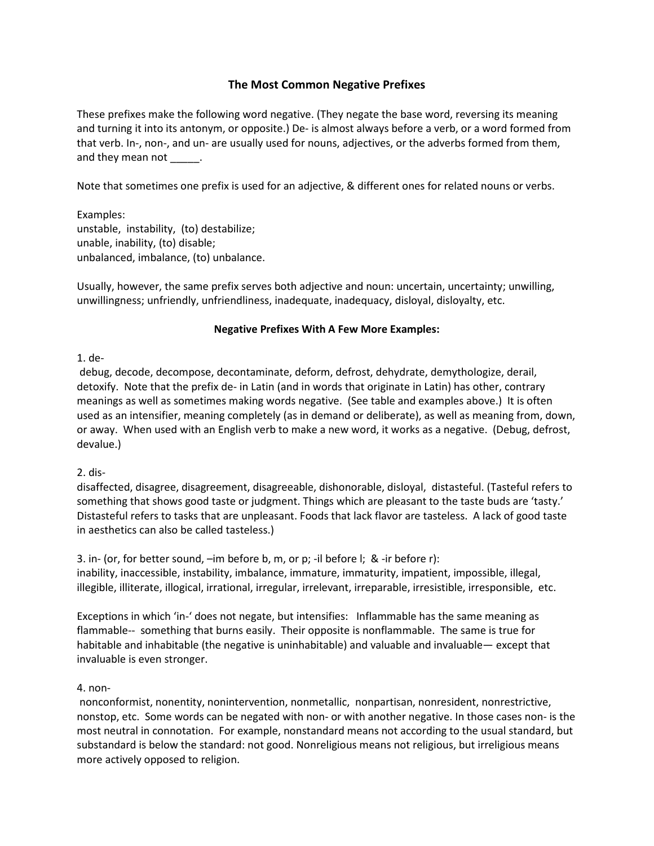## The Most Common Negative Prefixes

These prefixes make the following word negative. (They negate the base word, reversing its meaning and turning it into its antonym, or opposite.) De- is almost always before a verb, or a word formed from that verb. In-, non-, and un- are usually used for nouns, adjectives, or the adverbs formed from them, and they mean not \_\_\_\_\_\_.

Note that sometimes one prefix is used for an adjective, & different ones for related nouns or verbs.

Examples: unstable, instability, (to) destabilize; unable, inability, (to) disable; unbalanced, imbalance, (to) unbalance.

Usually, however, the same prefix serves both adjective and noun: uncertain, uncertainty; unwilling, unwillingness; unfriendly, unfriendliness, inadequate, inadequacy, disloyal, disloyalty, etc.

### Negative Prefixes With A Few More Examples:

1. de-

 debug, decode, decompose, decontaminate, deform, defrost, dehydrate, demythologize, derail, detoxify. Note that the prefix de- in Latin (and in words that originate in Latin) has other, contrary meanings as well as sometimes making words negative. (See table and examples above.) It is often used as an intensifier, meaning completely (as in demand or deliberate), as well as meaning from, down, or away. When used with an English verb to make a new word, it works as a negative. (Debug, defrost, devalue.)

2. dis-

disaffected, disagree, disagreement, disagreeable, dishonorable, disloyal, distasteful. (Tasteful refers to something that shows good taste or judgment. Things which are pleasant to the taste buds are 'tasty.' Distasteful refers to tasks that are unpleasant. Foods that lack flavor are tasteless. A lack of good taste in aesthetics can also be called tasteless.)

3. in- (or, for better sound, –im before b, m, or p; -il before l; & -ir before r): inability, inaccessible, instability, imbalance, immature, immaturity, impatient, impossible, illegal, illegible, illiterate, illogical, irrational, irregular, irrelevant, irreparable, irresistible, irresponsible, etc.

Exceptions in which 'in-' does not negate, but intensifies: Inflammable has the same meaning as flammable-- something that burns easily. Their opposite is nonflammable. The same is true for habitable and inhabitable (the negative is uninhabitable) and valuable and invaluable— except that invaluable is even stronger.

### 4. non-

 nonconformist, nonentity, nonintervention, nonmetallic, nonpartisan, nonresident, nonrestrictive, nonstop, etc. Some words can be negated with non- or with another negative. In those cases non- is the most neutral in connotation. For example, nonstandard means not according to the usual standard, but substandard is below the standard: not good. Nonreligious means not religious, but irreligious means more actively opposed to religion.